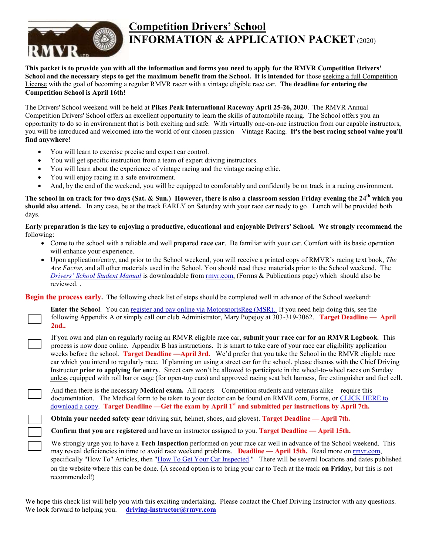

# **Competition Drivers' School INFORMATION & APPLICATION PACKET** (2020)

**This packet is to provide you with all the information and forms you need to apply for the RMVR Competition Drivers'**  School and the necessary steps to get the maximum benefit from the School. It is intended for those seeking a full Competition License with the goal of becoming a regular RMVR racer with a vintage eligible race car. **The deadline for entering the Competition School is April 16th!**

The Drivers' School weekend will be held at **Pikes Peak International Raceway April 25-26, 2020**. The RMVR Annual Competition Drivers' School offers an excellent opportunity to learn the skills of automobile racing. The School offers you an opportunity to do so in environment that is both exciting and safe. With virtually one-on-one instruction from our capable instructors, you will be introduced and welcomed into the world of our chosen passion—Vintage Racing. **It's the best racing school value you'll find anywhere!** 

- You will learn to exercise precise and expert car control.
- You will get specific instruction from a team of expert driving instructors.
- You will learn about the experience of vintage racing and the vintage racing ethic.
- You will enjoy racing in a safe environment.
- And, by the end of the weekend, you will be equipped to comfortably and confidently be on track in a racing environment.

**The school in on track for two days (Sat. & Sun.) However, there is also a classroom session Friday evening the 24 th which you should also attend.** In any case, be at the track EARLY on Saturday with your race car ready to go. Lunch will be provided both days.

**Early preparation is the key to enjoying a productive, educational and enjoyable Drivers' School. We strongly recommend** the following:

- Come to the school with a reliable and well prepared **race car**. Be familiar with your car. Comfort with its basic operation will enhance your experience.
- Upon application/entry, and prior to the School weekend, you will receive a printed copy of RMVR's racing text book, *The Ace Factor*, and all other materials used in the School. You should read these materials prior to the School weekend. The *Drivers' [School Student Manual](http://rmvr.com/forms/student_manual.pdf)* is downloadable from [rmvr.com,](http://rmvr.com/forms/student_manual.pdf) (Forms & Publications page) which should also be reviewed. .

**Begin the process early.** The following check list of steps should be completed well in advance of the School weekend:

**Enter the School**. You ca[n register and pay online via MotorsportsReg \(MSR\).](http://msreg.com/2018DS) If you need help doing this, see the following Appendix A or simply call our club Administrator, Mary Popejoy at 303-319-3062. **Target Deadline — April 2nd..** 

If you own and plan on regularly racing an RMVR eligible race car, **submit your race car for an RMVR Logbook.** This process is now done online. Appendix B has instructions. It is smart to take care of your race car eligibility application weeks before the school. **Target Deadline —April 3rd.** We'd prefer that you take the School in the RMVR eligible race car which you intend to regularly race. If planning on using a street car for the school, please discuss with the Chief Driving Instructor **prior to applying for entry**. Street cars won't be allowed to participate in the wheel-to-wheel races on Sunday unless equipped with roll bar or cage (for open-top cars) and approved racing seat belt harness, fire extinguisher and fuel cell.

And then there is the necessary **Medical exam.** All racers—Competition students and veterans alike—require this documentation. The Medical form to be taken to your doctor can be found on RMVR.com, Forms, or [CLICK HERE to](http://rmvr.com/forms/medical.pdf)  [download a copy.](http://rmvr.com/forms/medical.pdf) **Target Deadline —Get the exam by April 1st and submitted per instructions by April 7th.** 

**Obtain your needed safety gear** (driving suit, helmet, shoes, and gloves). **Target Deadline — April 7th.**

**Confirm that you are registered** and have an instructor assigned to you. **Target Deadline — April 15th.** 

We strongly urge you to have a **Tech Inspection** performed on your race car well in advance of the School weekend. This may reveal deficiencies in time to avoid race weekend problems. **Deadline — April 15th.** Read more on [rmvr.com,](http://rmvr.com/category/howto/) specifically "How To" Articles, then ["How To Get Your Car Inspected.](http://rmvr.com/how-to-get-your-car-inspected/)" There will be several locations and dates published on the website where this can be done. (A second option is to bring your car to Tech at the track **on Friday**, but this is not recommended!)

We hope this check list will help you with this exciting undertaking. Please contact the Chief Driving Instructor with any questions. We look forward to helping you. **[driving-instructor@rmvr.com](mailto:driving-instructor@rmvr.com)**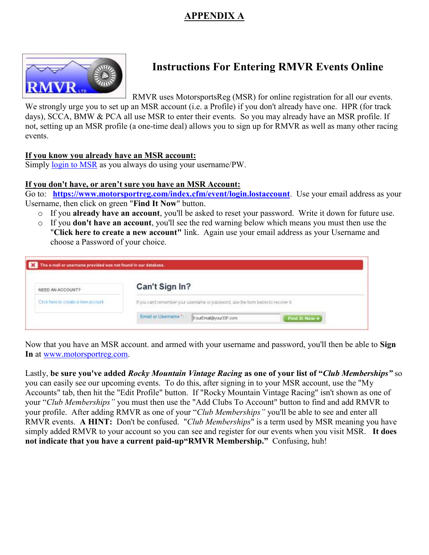## **APPENDIX A**



# **Instructions For Entering RMVR Events Online**

RMVR uses MotorsportsReg (MSR) for online registration for all our events.

We strongly urge you to set up an MSR account (i.e. a Profile) if you don't already have one. HPR (for track days), SCCA, BMW & PCA all use MSR to enter their events. So you may already have an MSR profile. If not, setting up an MSR profile (a one-time deal) allows you to sign up for RMVR as well as many other racing events.

#### **If you know you already have an MSR account:**

Simply [login to MSR](http://www.motorsportreg.com/) as you always do using your username/PW.

#### **If you don't have, or aren't sure you have an MSR Account:**

Go to: **<https://www.motorsportreg.com/index.cfm/event/login.lostaccount>**. Use your email address as your Username, then click on green "**Find It Now**" button.

- o If you **already have an account**, you'll be asked to reset your password. Write it down for future use.
- o If you **don't have an account**, you'll see the red warning below which means you must then use the "**Click here to create a new account"** link. Again use your email address as your Username and choose a Password of your choice.

| NEED AN ACCOUNT?                    | Can't Sign In?                                                                     |
|-------------------------------------|------------------------------------------------------------------------------------|
| Click bere to create a new account. | If you can't remember your usemante or password, use the form below to recover it. |
|                                     | Email or Username ***<br>YourEmail@yourISP.com<br>Find It Now $+$                  |

Now that you have an MSR account. and armed with your username and password, you'll then be able to **Sign In** at [www.motorsportreg.com.](http://www.motorsportreg.com/)

Lastly, **be sure you've added** *Rocky Mountain Vintage Racing* **as one of your list of "***Club Memberships"* so you can easily see our upcoming events. To do this, after signing in to your MSR account, use the "My Accounts" tab, then hit the "Edit Profile" button. If "Rocky Mountain Vintage Racing" isn't shown as one of your "*Club Memberships"* you must then use the "Add Clubs To Account" button to find and add RMVR to your profile. After adding RMVR as one of your "*Club Memberships"* you'll be able to see and enter all RMVR events. **A HINT:** Don't be confused. "*Club Memberships*" is a term used by MSR meaning you have simply added RMVR to your account so you can see and register for our events when you visit MSR. **It does not indicate that you have a current paid-up"RMVR Membership."** Confusing, huh!